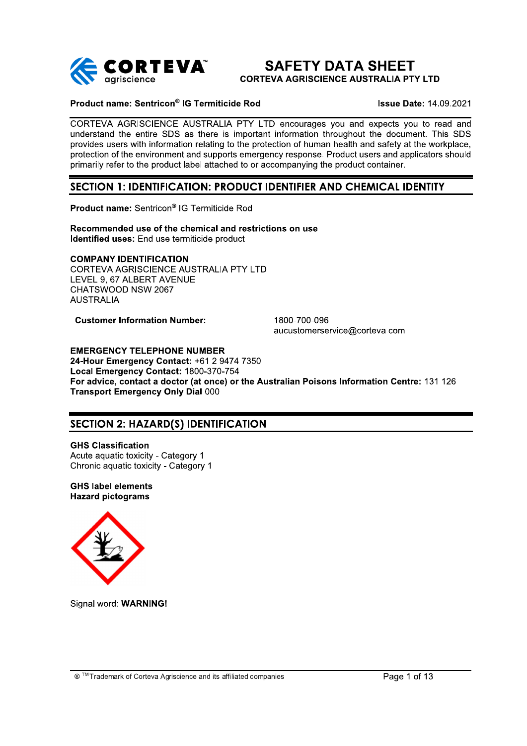

# **SAFETY DATA SHEET CORTEVA AGRISCIENCE AUSTRALIA PTY LTD**

### Product name: Sentricon® IG Termiticide Rod

**Issue Date: 14.09.2021** 

CORTEVA AGRISCIENCE AUSTRALIA PTY LTD encourages you and expects you to read and understand the entire SDS as there is important information throughout the document. This SDS provides users with information relating to the protection of human health and safety at the workplace. protection of the environment and supports emergency response. Product users and applicators should primarily refer to the product label attached to or accompanying the product container.

# SECTION 1: IDENTIFICATION: PRODUCT IDENTIFIER AND CHEMICAL IDENTITY

Product name: Sentricon® IG Termiticide Rod

Recommended use of the chemical and restrictions on use Identified uses: End use termiticide product

#### **COMPANY IDENTIFICATION**

CORTEVA AGRISCIENCE AUSTRALIA PTY LTD LEVEL 9. 67 ALBERT AVENUE CHATSWOOD NSW 2067 **AUSTRALIA** 

**Customer Information Number:** 

1800-700-096 aucustomerservice@corteva.com

**EMERGENCY TELEPHONE NUMBER** 24-Hour Emergency Contact: +61 2 9474 7350 Local Emergency Contact: 1800-370-754 For advice, contact a doctor (at once) or the Australian Poisons Information Centre: 131 126 **Transport Emergency Only Dial 000** 

# **SECTION 2: HAZARD(S) IDENTIFICATION**

**GHS Classification** Acute aguatic toxicity - Category 1 Chronic aquatic toxicity - Category 1

**GHS label elements Hazard pictograms** 



Signal word: WARNING!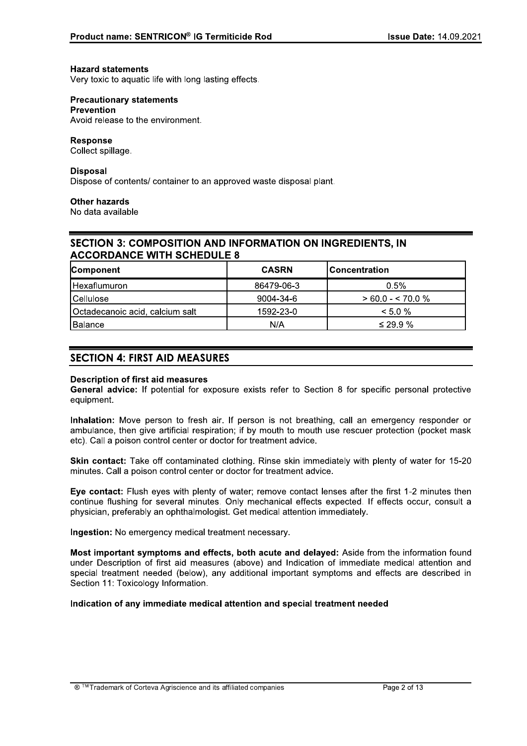#### **Hazard statements**

Very toxic to aquatic life with long lasting effects.

## **Precautionary statements Prevention**

Avoid release to the environment.

## **Response**

Collect spillage.

## **Disposal**

Dispose of contents/ container to an approved waste disposal plant.

### **Other hazards**

No data available

## **SECTION 3: COMPOSITION AND INFORMATION ON INGREDIENTS. IN ACCORDANCE WITH SCHEDULE 8**

| <b>Component</b>                | <b>CASRN</b> | <b>Concentration</b> |
|---------------------------------|--------------|----------------------|
| Hexaflumuron                    | 86479-06-3   | 0.5%                 |
| Cellulose                       | 9004-34-6    | $> 60.0 - 570.0 %$   |
| Octadecanoic acid, calcium salt | 1592-23-0    | $< 5.0 \%$           |
| Balance                         | N/A          | $\leq$ 29.9 %        |

# **SECTION 4: FIRST AID MEASURES**

#### **Description of first aid measures**

General advice: If potential for exposure exists refer to Section 8 for specific personal protective equipment.

Inhalation: Move person to fresh air. If person is not breathing, call an emergency responder or ambulance, then give artificial respiration; if by mouth to mouth use rescuer protection (pocket mask etc). Call a poison control center or doctor for treatment advice.

Skin contact: Take off contaminated clothing. Rinse skin immediately with plenty of water for 15-20 minutes. Call a poison control center or doctor for treatment advice.

Eve contact: Flush eves with plenty of water: remove contact lenses after the first 1-2 minutes then continue flushing for several minutes. Only mechanical effects expected. If effects occur, consult a physician, preferably an ophthalmologist. Get medical attention immediately.

Ingestion: No emergency medical treatment necessary.

Most important symptoms and effects, both acute and delaved: Aside from the information found under Description of first aid measures (above) and Indication of immediate medical attention and special treatment needed (below), any additional important symptoms and effects are described in Section 11: Toxicology Information.

## Indication of any immediate medical attention and special treatment needed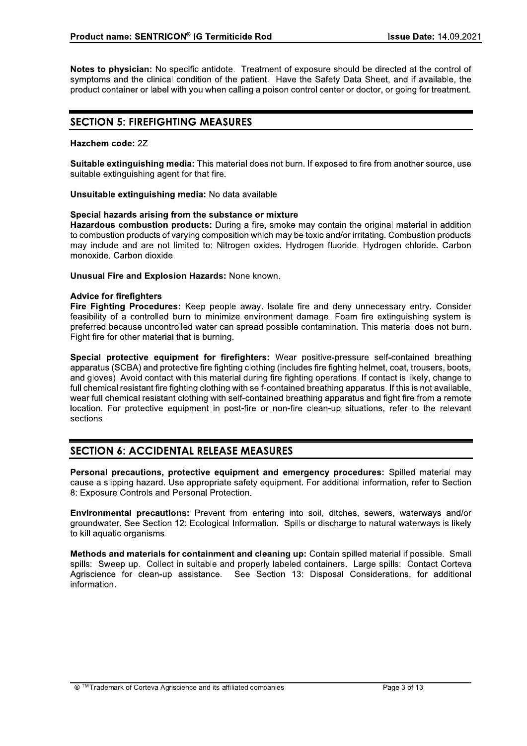Notes to physician: No specific antidote. Treatment of exposure should be directed at the control of symptoms and the clinical condition of the patient. Have the Safety Data Sheet, and if available, the product container or label with you when calling a poison control center or doctor, or going for treatment.

# **SECTION 5: FIREFIGHTING MEASURES**

### Hazchem code: 2Z

Suitable extinguishing media: This material does not burn. If exposed to fire from another source, use suitable extinguishing agent for that fire.

Unsuitable extinguishing media: No data available

### Special hazards arising from the substance or mixture

Hazardous combustion products: During a fire, smoke may contain the original material in addition to combustion products of varying composition which may be toxic and/or irritating. Combustion products may include and are not limited to: Nitrogen oxides. Hydrogen fluoride. Hydrogen chloride. Carbon monoxide. Carbon dioxide.

**Unusual Fire and Explosion Hazards: None known.** 

### **Advice for firefighters**

Fire Fighting Procedures: Keep people away. Isolate fire and deny unnecessary entry. Consider feasibility of a controlled burn to minimize environment damage. Foam fire extinguishing system is preferred because uncontrolled water can spread possible contamination. This material does not burn. Fight fire for other material that is burning.

Special protective equipment for firefighters: Wear positive-pressure self-contained breathing apparatus (SCBA) and protective fire fighting clothing (includes fire fighting helmet, coat, trousers, boots, and gloves). Avoid contact with this material during fire fighting operations. If contact is likely, change to full chemical resistant fire fighting clothing with self-contained breathing apparatus. If this is not available, wear full chemical resistant clothing with self-contained breathing apparatus and fight fire from a remote location. For protective equipment in post-fire or non-fire clean-up situations, refer to the relevant sections.

# **SECTION 6: ACCIDENTAL RELEASE MEASURES**

Personal precautions, protective equipment and emergency procedures: Spilled material may cause a slipping hazard. Use appropriate safety equipment. For additional information, refer to Section 8: Exposure Controls and Personal Protection.

Environmental precautions: Prevent from entering into soil, ditches, sewers, waterways and/or groundwater. See Section 12: Ecological Information. Spills or discharge to natural waterways is likely to kill aquatic organisms.

Methods and materials for containment and cleaning up: Contain spilled material if possible. Small spills: Sweep up. Collect in suitable and properly labeled containers. Large spills: Contact Corteva Agriscience for clean-up assistance. See Section 13: Disposal Considerations, for additional information.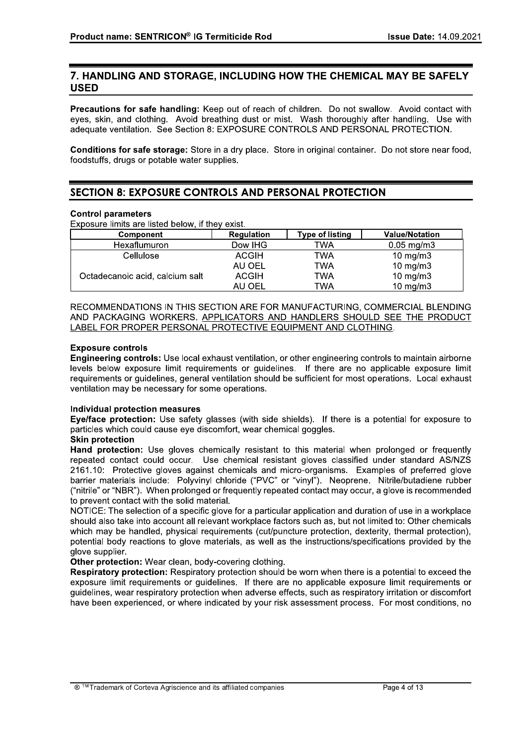# 7. HANDLING AND STORAGE, INCLUDING HOW THE CHEMICAL MAY BE SAFELY **USED**

Precautions for safe handling: Keep out of reach of children. Do not swallow. Avoid contact with eyes, skin, and clothing. Avoid breathing dust or mist. Wash thoroughly after handling. Use with adequate ventilation. See Section 8: EXPOSURE CONTROLS AND PERSONAL PROTECTION.

Conditions for safe storage: Store in a dry place. Store in original container. Do not store near food, foodstuffs, drugs or potable water supplies.

# **SECTION 8: EXPOSURE CONTROLS AND PERSONAL PROTECTION**

### **Control parameters**

Exposure limits are listed below, if they exist.

| Component                       | <b>Regulation</b> | <b>Type of listing</b> | <b>Value/Notation</b> |
|---------------------------------|-------------------|------------------------|-----------------------|
| Hexaflumuron                    | Dow IHG           | TWA                    | $0.05 \text{ mg/m}$ 3 |
| Cellulose                       | <b>ACGIH</b>      | TWA                    | $10 \text{ mg/m}$     |
|                                 | AU OEL            | TWA                    | $10 \text{ mg/m}$     |
| Octadecanoic acid, calcium salt | <b>ACGIH</b>      | TWA                    | $10$ mg/m $3$         |
|                                 | AU OEL            | TWA                    | $10 \text{ mg/m}$     |

RECOMMENDATIONS IN THIS SECTION ARE FOR MANUFACTURING. COMMERCIAL BLENDING AND PACKAGING WORKERS. APPLICATORS AND HANDLERS SHOULD SEE THE PRODUCT LABEL FOR PROPER PERSONAL PROTECTIVE EQUIPMENT AND CLOTHING.

### **Exposure controls**

**Engineering controls:** Use local exhaust ventilation, or other engineering controls to maintain airborne levels below exposure limit requirements or quidelines. If there are no applicable exposure limit requirements or quidelines, general ventilation should be sufficient for most operations. Local exhaust ventilation may be necessary for some operations.

### **Individual protection measures**

Eye/face protection: Use safety glasses (with side shields). If there is a potential for exposure to particles which could cause eye discomfort, wear chemical goggles.

#### **Skin protection**

Hand protection: Use gloves chemically resistant to this material when prolonged or frequently repeated contact could occur. Use chemical resistant gloves classified under standard AS/NZS 2161.10: Protective gloves against chemicals and micro-organisms. Examples of preferred glove barrier materials include: Polyvinyl chloride ("PVC" or "vinyl"). Neoprene. Nitrile/butadiene rubber ("nitrile" or "NBR"). When prolonged or frequently repeated contact may occur, a glove is recommended to prevent contact with the solid material.

NOTICE: The selection of a specific glove for a particular application and duration of use in a workplace should also take into account all relevant workplace factors such as, but not limited to: Other chemicals which may be handled, physical requirements (cut/puncture protection, dexterity, thermal protection), potential body reactions to glove materials, as well as the instructions/specifications provided by the glove supplier.

## Other protection: Wear clean, body-covering clothing.

Respiratory protection: Respiratory protection should be worn when there is a potential to exceed the exposure limit requirements or quidelines. If there are no applicable exposure limit requirements or quidelines, wear respiratory protection when adverse effects, such as respiratory irritation or discomfort have been experienced, or where indicated by your risk assessment process. For most conditions, no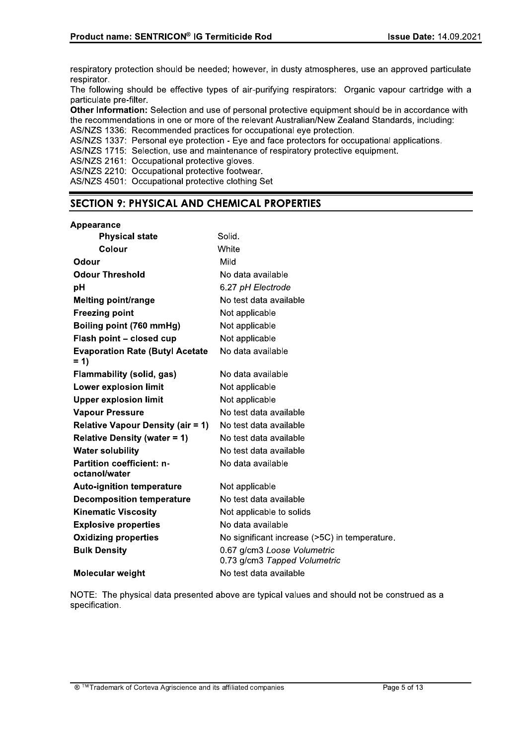respiratory protection should be needed; however, in dusty atmospheres, use an approved particulate respirator.

The following should be effective types of air-purifying respirators: Organic vapour cartridge with a particulate pre-filter.

Other Information: Selection and use of personal protective equipment should be in accordance with the recommendations in one or more of the relevant Australian/New Zealand Standards, including:

AS/NZS 1336: Recommended practices for occupational eye protection.

AS/NZS 1337: Personal eye protection - Eye and face protectors for occupational applications.

AS/NZS 1715: Selection, use and maintenance of respiratory protective equipment.

AS/NZS 2161: Occupational protective gloves.

AS/NZS 2210: Occupational protective footwear. AS/NZS 4501: Occupational protective clothing Set

# **SECTION 9: PHYSICAL AND CHEMICAL PROPERTIES**

#### Appearance

| <b>Physical state</b>                             | Solid.                                                      |
|---------------------------------------------------|-------------------------------------------------------------|
| <b>Colour</b>                                     | White                                                       |
| Odour                                             | Mild                                                        |
| <b>Odour Threshold</b>                            | No data available                                           |
| pH                                                | 6.27 pH Electrode                                           |
| <b>Melting point/range</b>                        | No test data available                                      |
| <b>Freezing point</b>                             | Not applicable                                              |
| Boiling point (760 mmHg)                          | Not applicable                                              |
| Flash point - closed cup                          | Not applicable                                              |
| <b>Evaporation Rate (Butyl Acetate</b><br>$= 1$   | No data available                                           |
| <b>Flammability (solid, gas)</b>                  | No data available                                           |
| <b>Lower explosion limit</b>                      | Not applicable                                              |
| <b>Upper explosion limit</b>                      | Not applicable                                              |
| <b>Vapour Pressure</b>                            | No test data available                                      |
| <b>Relative Vapour Density (air = 1)</b>          | No test data available                                      |
| <b>Relative Density (water = 1)</b>               | No test data available                                      |
| <b>Water solubility</b>                           | No test data available                                      |
| <b>Partition coefficient: n-</b><br>octanol/water | No data available                                           |
| <b>Auto-ignition temperature</b>                  | Not applicable                                              |
| <b>Decomposition temperature</b>                  | No test data available                                      |
| <b>Kinematic Viscosity</b>                        | Not applicable to solids                                    |
| <b>Explosive properties</b>                       | No data available                                           |
| <b>Oxidizing properties</b>                       | No significant increase (>5C) in temperature.               |
| <b>Bulk Density</b>                               | 0.67 g/cm3 Loose Volumetric<br>0.73 g/cm3 Tapped Volumetric |
| <b>Molecular weight</b>                           | No test data available                                      |

NOTE: The physical data presented above are typical values and should not be construed as a specification.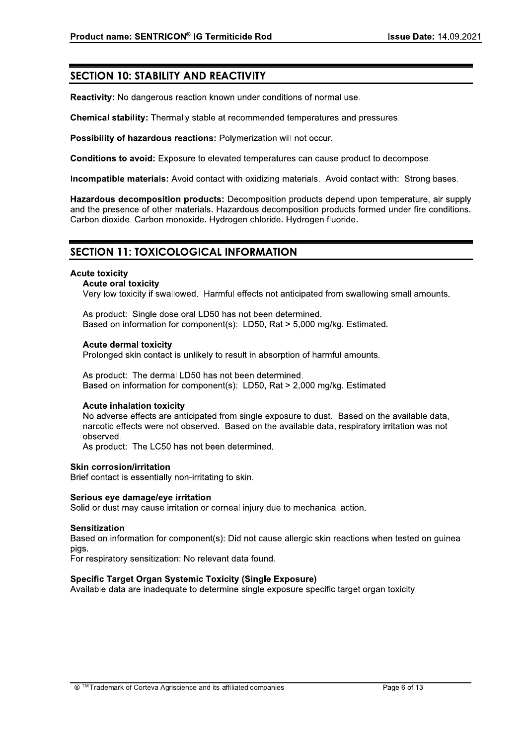# **SECTION 10: STABILITY AND REACTIVITY**

Reactivity: No dangerous reaction known under conditions of normal use.

Chemical stability: Thermally stable at recommended temperatures and pressures.

Possibility of hazardous reactions: Polymerization will not occur.

Conditions to avoid: Exposure to elevated temperatures can cause product to decompose.

Incompatible materials: Avoid contact with oxidizing materials. Avoid contact with: Strong bases.

Hazardous decomposition products: Decomposition products depend upon temperature, air supply and the presence of other materials. Hazardous decomposition products formed under fire conditions. Carbon dioxide. Carbon monoxide. Hydrogen chloride. Hydrogen fluoride.

# **SECTION 11: TOXICOLOGICAL INFORMATION**

#### **Acute toxicity**

#### **Acute oral toxicity**

Very low toxicity if swallowed. Harmful effects not anticipated from swallowing small amounts.

As product: Single dose oral LD50 has not been determined. Based on information for component(s): LD50, Rat > 5,000 mg/kg. Estimated.

### **Acute dermal toxicity**

Prolonged skin contact is unlikely to result in absorption of harmful amounts.

As product: The dermal LD50 has not been determined. Based on information for component(s): LD50, Rat > 2.000 mg/kg. Estimated

#### **Acute inhalation toxicity**

No adverse effects are anticipated from single exposure to dust. Based on the available data. narcotic effects were not observed. Based on the available data, respiratory irritation was not observed.

As product: The LC50 has not been determined.

#### **Skin corrosion/irritation**

Brief contact is essentially non-irritating to skin.

#### Serious eve damage/eve irritation

Solid or dust may cause irritation or corneal injury due to mechanical action.

#### **Sensitization**

Based on information for component(s): Did not cause allergic skin reactions when tested on guinea pigs.

For respiratory sensitization: No relevant data found.

## Specific Target Organ Systemic Toxicity (Single Exposure)

Available data are inadequate to determine single exposure specific target organ toxicity.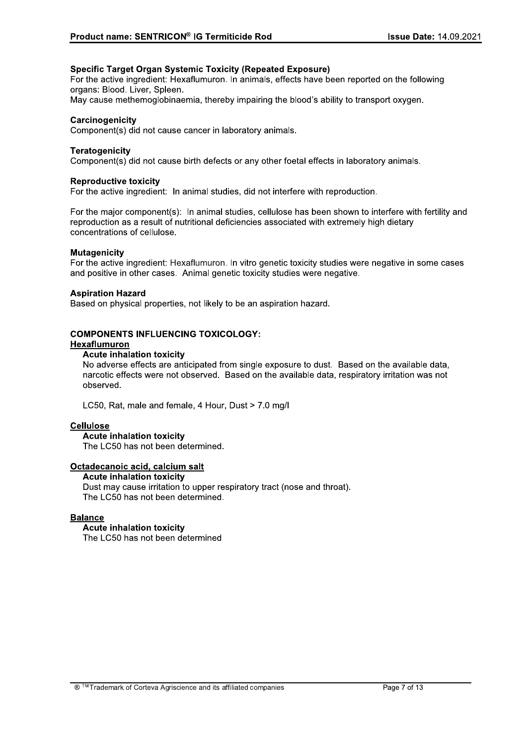## **Specific Target Organ Systemic Toxicity (Repeated Exposure)**

For the active ingredient: Hexaflumuron. In animals, effects have been reported on the following organs: Blood. Liver. Spleen.

May cause methemoglobinaemia, thereby impairing the blood's ability to transport oxygen.

### Carcinogenicity

Component(s) did not cause cancer in laboratory animals.

### **Teratogenicity**

Component(s) did not cause birth defects or any other foetal effects in laboratory animals.

#### **Reproductive toxicity**

For the active ingredient: In animal studies, did not interfere with reproduction.

For the major component(s): In animal studies, cellulose has been shown to interfere with fertility and reproduction as a result of nutritional deficiencies associated with extremely high dietary concentrations of cellulose.

#### **Mutagenicity**

For the active ingredient: Hexaflumuron. In vitro genetic toxicity studies were negative in some cases and positive in other cases. Animal genetic toxicity studies were negative.

### **Aspiration Hazard**

Based on physical properties, not likely to be an aspiration hazard.

## **COMPONENTS INFLUENCING TOXICOLOGY:**

## Hexaflumuron

#### **Acute inhalation toxicity**

No adverse effects are anticipated from single exposure to dust. Based on the available data. narcotic effects were not observed. Based on the available data, respiratory irritation was not observed.

LC50, Rat, male and female, 4 Hour, Dust > 7.0 mg/l

#### **Cellulose**

#### **Acute inhalation toxicity**

The LC50 has not been determined.

## Octadecanoic acid, calcium salt

**Acute inhalation toxicity** Dust may cause irritation to upper respiratory tract (nose and throat). The LC50 has not been determined.

#### **Balance**

**Acute inhalation toxicity** The LC50 has not been determined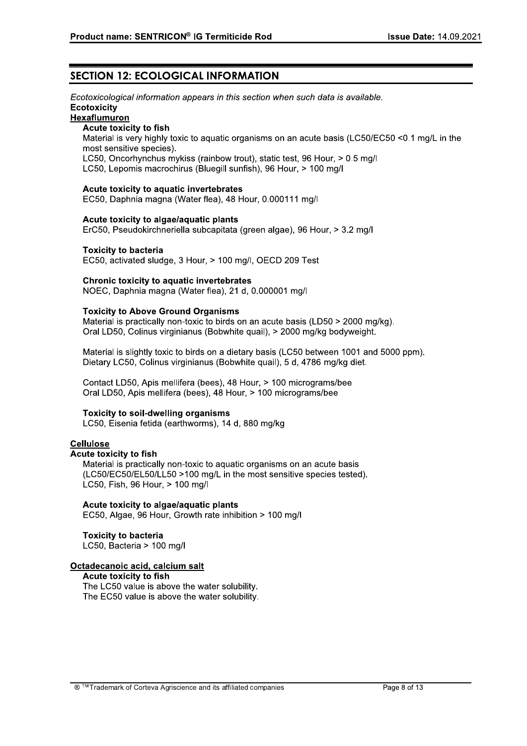# **SECTION 12: ECOLOGICAL INFORMATION**

Ecotoxicological information appears in this section when such data is available. Ecotoxicity

## Hexaflumuron

### Acute toxicity to fish

Material is very highly toxic to aquatic organisms on an acute basis (LC50/EC50 <0.1 mg/L in the most sensitive species).

LC50, Oncorhynchus mykiss (rainbow trout), static test, 96 Hour, > 0.5 mg/l

LC50, Lepomis macrochirus (Bluegill sunfish), 96 Hour, > 100 mg/l

#### Acute toxicity to aquatic invertebrates

EC50, Daphnia magna (Water flea), 48 Hour, 0.000111 mg/l

#### Acute toxicity to algae/aquatic plants

ErC50, Pseudokirchneriella subcapitata (green algae), 96 Hour, > 3.2 mg/l

#### **Toxicity to bacteria**

EC50, activated sludge, 3 Hour, > 100 mg/l, OECD 209 Test

#### Chronic toxicity to aquatic invertebrates

NOEC, Daphnia magna (Water flea), 21 d, 0.000001 mg/l

### **Toxicity to Above Ground Organisms**

Material is practically non-toxic to birds on an acute basis (LD50 > 2000 mg/kg). Oral LD50, Colinus virginianus (Bobwhite quail), > 2000 mg/kg bodyweight.

Material is slightly toxic to birds on a dietary basis (LC50 between 1001 and 5000 ppm). Dietary LC50, Colinus virginianus (Bobwhite quail), 5 d, 4786 mg/kg diet.

Contact LD50, Apis mellifera (bees), 48 Hour, > 100 micrograms/bee Oral LD50, Apis mellifera (bees), 48 Hour, > 100 micrograms/bee

#### **Toxicity to soil-dwelling organisms**

LC50. Eisenia fetida (earthworms), 14 d. 880 mg/kg

## **Cellulose**

### **Acute toxicity to fish**

Material is practically non-toxic to aquatic organisms on an acute basis (LC50/EC50/EL50/LL50 >100 mg/L in the most sensitive species tested). LC50, Fish, 96 Hour, > 100 mg/l

## Acute toxicity to algae/aquatic plants

EC50, Algae, 96 Hour, Growth rate inhibition > 100 mg/l

# **Toxicity to bacteria**

LC50, Bacteria > 100 mg/l

## Octadecanoic acid, calcium salt

Acute toxicity to fish

The LC50 value is above the water solubility. The EC50 value is above the water solubility.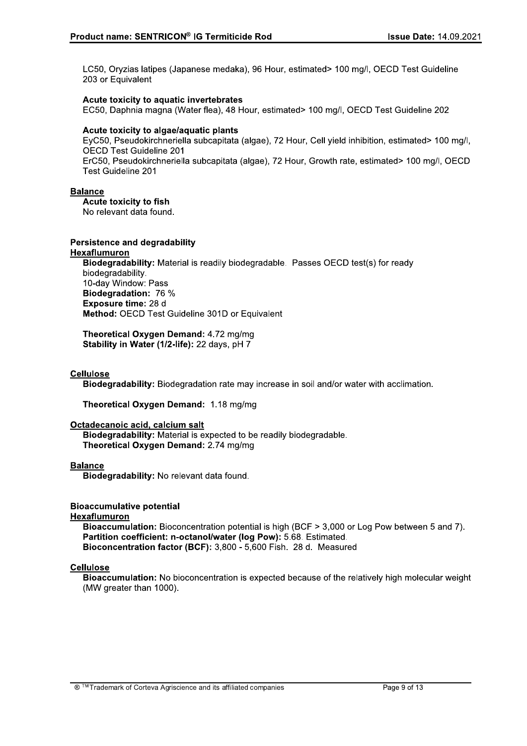LC50, Oryzias latipes (Japanese medaka), 96 Hour, estimated> 100 mg/l, OECD Test Guideline 203 or Equivalent

### Acute toxicity to aquatic invertebrates

EC50, Daphnia magna (Water flea), 48 Hour, estimated> 100 mg/l, OECD Test Guideline 202

### Acute toxicity to algae/aquatic plants

EyC50, Pseudokirchneriella subcapitata (algae), 72 Hour, Cell yield inhibition, estimated> 100 mg/l, **OECD Test Guideline 201** 

ErC50, Pseudokirchneriella subcapitata (algae), 72 Hour, Growth rate, estimated> 100 mg/l, OECD **Test Guideline 201** 

### **Balance**

Acute toxicity to fish

No relevant data found.

### **Persistence and degradability**

#### Hexaflumuron

Biodegradability: Material is readily biodegradable. Passes OECD test(s) for ready biodegradability. 10-day Window: Pass Biodegradation: 76 % Exposure time: 28 d Method: OECD Test Guideline 301D or Equivalent

Theoretical Oxygen Demand: 4.72 mg/mg Stability in Water (1/2-life): 22 days, pH 7

## **Cellulose**

Biodegradability: Biodegradation rate may increase in soil and/or water with acclimation.

Theoretical Oxygen Demand: 1.18 mg/mg

#### Octadecanoic acid, calcium salt

Biodegradability: Material is expected to be readily biodegradable. Theoretical Oxygen Demand: 2.74 mg/mg

#### **Balance**

Biodegradability: No relevant data found.

#### **Bioaccumulative potential**

Hexaflumuron

Bioaccumulation: Bioconcentration potential is high (BCF > 3,000 or Log Pow between 5 and 7). Partition coefficient: n-octanol/water (log Pow): 5.68. Estimated. Bioconcentration factor (BCF): 3,800 - 5,600 Fish. 28 d. Measured

## **Cellulose**

Bioaccumulation: No bioconcentration is expected because of the relatively high molecular weight (MW greater than 1000).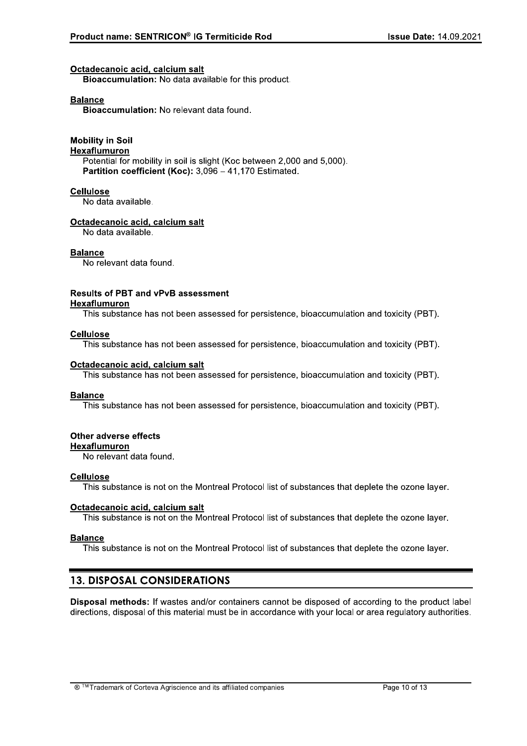#### Octadecanoic acid, calcium salt

**Bioaccumulation:** No data available for this product.

#### **Balance**

Bioaccumulation: No relevant data found.

# **Mobility in Soil**

# Hexaflumuron

Potential for mobility in soil is slight (Koc between 2,000 and 5,000). Partition coefficient (Koc): 3,096 - 41,170 Estimated.

#### **Cellulose**

No data available.

#### Octadecanoic acid, calcium salt

No data available.

### **Balance**

No relevant data found.

# **Results of PBT and vPvB assessment**

## **Hexaflumuron**

This substance has not been assessed for persistence, bioaccumulation and toxicity (PBT).

#### **Cellulose**

This substance has not been assessed for persistence, bioaccumulation and toxicity (PBT).

#### Octadecanoic acid, calcium salt

This substance has not been assessed for persistence, bioaccumulation and toxicity (PBT).

#### **Balance**

This substance has not been assessed for persistence, bioaccumulation and toxicity (PBT).

## **Other adverse effects**

### **Hexaflumuron**

No relevant data found.

#### **Cellulose**

This substance is not on the Montreal Protocol list of substances that deplete the ozone layer.

#### Octadecanoic acid, calcium salt

This substance is not on the Montreal Protocol list of substances that deplete the ozone layer.

#### **Balance**

This substance is not on the Montreal Protocol list of substances that deplete the ozone layer.

# **13. DISPOSAL CONSIDERATIONS**

Disposal methods: If wastes and/or containers cannot be disposed of according to the product label directions, disposal of this material must be in accordance with your local or area regulatory authorities.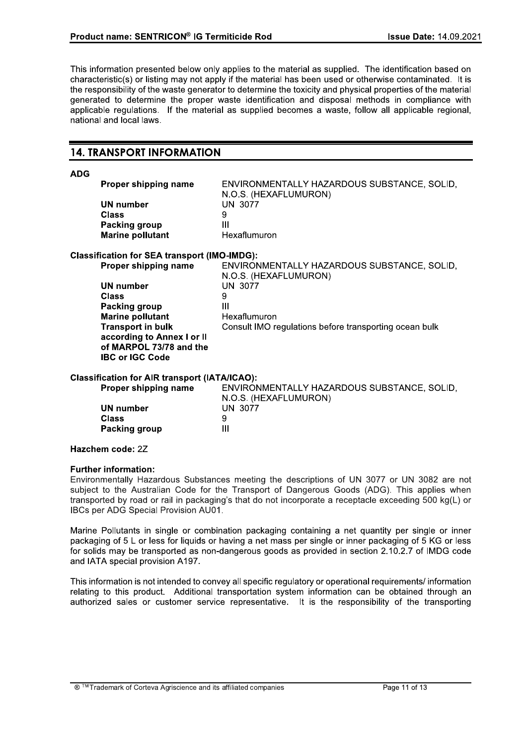This information presented below only applies to the material as supplied. The identification based on characteristic(s) or listing may not apply if the material has been used or otherwise contaminated. It is the responsibility of the waste generator to determine the toxicity and physical properties of the material generated to determine the proper waste identification and disposal methods in compliance with applicable regulations. If the material as supplied becomes a waste, follow all applicable regional, national and local laws.

## **14. TRANSPORT INFORMATION**

**ADG** 

| <b>Proper shipping name</b> | ENVIRONMENTALLY HAZARDOUS SUBSTANCE, SOLID.<br>N.O.S. (HEXAFLUMURON) |
|-----------------------------|----------------------------------------------------------------------|
| UN number                   | UN 3077                                                              |
| Class                       | 9                                                                    |
| Packing group               | Ш                                                                    |
| <b>Marine pollutant</b>     | Hexaflumuron                                                         |
|                             |                                                                      |

#### **Classification for SEA transport (IMO-IMDG):**

| Proper shipping name       | ENVIRONMENTALLY HAZARDOUS SUBSTANCE, SOLID,            |
|----------------------------|--------------------------------------------------------|
|                            | N.O.S. (HEXAFLUMURON)                                  |
| UN number                  | UN 3077                                                |
| <b>Class</b>               | 9                                                      |
| Packing group              | Ш                                                      |
| <b>Marine pollutant</b>    | Hexaflumuron                                           |
| <b>Transport in bulk</b>   | Consult IMO regulations before transporting ocean bulk |
| according to Annex I or II |                                                        |
| of MARPOL 73/78 and the    |                                                        |
| <b>IBC or IGC Code</b>     |                                                        |
|                            |                                                        |

#### **Classification for AIR transport (IATA/ICAO):**

| <b>Proper shipping name</b> | ENVIRONMENTALLY HAZARDOUS SUBSTANCE, SOLID,<br>N.O.S. (HEXAFLUMURON) |
|-----------------------------|----------------------------------------------------------------------|
| UN number                   | <b>UN 3077</b>                                                       |
| Class                       | 9                                                                    |
| Packing group               | Ш                                                                    |

#### Hazchem code: 2Z

#### **Further information:**

Environmentally Hazardous Substances meeting the descriptions of UN 3077 or UN 3082 are not subject to the Australian Code for the Transport of Dangerous Goods (ADG). This applies when transported by road or rail in packaging's that do not incorporate a receptacle exceeding 500 kg(L) or IBCs per ADG Special Provision AU01.

Marine Pollutants in single or combination packaging containing a net quantity per single or inner packaging of 5 L or less for liquids or having a net mass per single or inner packaging of 5 KG or less for solids may be transported as non-dangerous goods as provided in section 2.10.2.7 of IMDG code and IATA special provision A197.

This information is not intended to convey all specific regulatory or operational requirements/ information relating to this product. Additional transportation system information can be obtained through an authorized sales or customer service representative. It is the responsibility of the transporting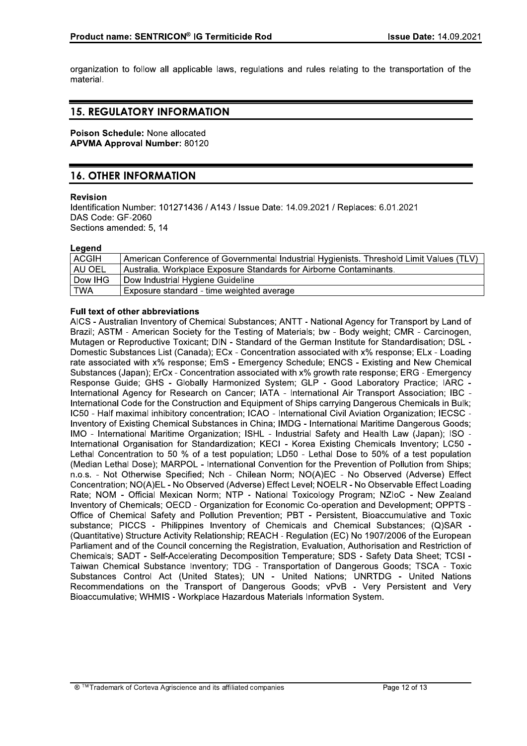organization to follow all applicable laws, regulations and rules relating to the transportation of the material.

# **15. REGULATORY INFORMATION**

Poison Schedule: None allocated **APVMA Approval Number: 80120** 

# **16. OTHER INFORMATION**

### **Revision**

Identification Number: 101271436 / A143 / Issue Date: 14.09.2021 / Replaces: 6.01.2021 DAS Code: GF-2060 Sections amended: 5, 14

#### Legend

| ACGIH      | American Conference of Governmental Industrial Hygienists. Threshold Limit Values (TLV) |
|------------|-----------------------------------------------------------------------------------------|
| AU OEL     | Australia. Workplace Exposure Standards for Airborne Contaminants.                      |
| Dow IHG    | Dow Industrial Hygiene Guideline                                                        |
| <b>TWA</b> | Exposure standard - time weighted average                                               |

### **Full text of other abbreviations**

AICS - Australian Inventory of Chemical Substances; ANTT - National Agency for Transport by Land of Brazil; ASTM - American Society for the Testing of Materials; bw - Body weight; CMR - Carcinogen, Mutagen or Reproductive Toxicant; DIN - Standard of the German Institute for Standardisation; DSL -Domestic Substances List (Canada); ECx - Concentration associated with x% response; ELx - Loading rate associated with x% response; EmS - Emergency Schedule; ENCS - Existing and New Chemical Substances (Japan); ErCx - Concentration associated with x% growth rate response; ERG - Emergency Response Guide; GHS - Globally Harmonized System; GLP - Good Laboratory Practice; IARC -International Agency for Research on Cancer; IATA - International Air Transport Association; IBC -International Code for the Construction and Equipment of Ships carrying Dangerous Chemicals in Bulk: IC50 - Half maximal inhibitory concentration: ICAO - International Civil Aviation Organization: IECSC -Inventory of Existing Chemical Substances in China; IMDG - International Maritime Dangerous Goods; IMO - International Maritime Organization; ISHL - Industrial Safety and Health Law (Japan); ISO -International Organisation for Standardization; KECI - Korea Existing Chemicals Inventory; LC50 -Lethal Concentration to 50 % of a test population; LD50 - Lethal Dose to 50% of a test population (Median Lethal Dose); MARPOL - International Convention for the Prevention of Pollution from Ships; n.o.s. - Not Otherwise Specified; Nch - Chilean Norm; NO(A)EC - No Observed (Adverse) Effect Concentration; NO(A)EL - No Observed (Adverse) Effect Level; NOELR - No Observable Effect Loading Rate: NOM - Official Mexican Norm: NTP - National Toxicology Program: NZIoC - New Zealand Inventory of Chemicals: OECD - Organization for Economic Co-operation and Development: OPPTS -Office of Chemical Safety and Pollution Prevention; PBT - Persistent, Bioaccumulative and Toxic substance; PICCS - Philippines Inventory of Chemicals and Chemical Substances; (Q)SAR -(Quantitative) Structure Activity Relationship; REACH - Regulation (EC) No 1907/2006 of the European Parliament and of the Council concerning the Registration, Evaluation, Authorisation and Restriction of Chemicals; SADT - Self-Accelerating Decomposition Temperature; SDS - Safety Data Sheet; TCSI -Taiwan Chemical Substance Inventory; TDG - Transportation of Dangerous Goods; TSCA - Toxic Substances Control Act (United States); UN - United Nations; UNRTDG - United Nations Recommendations on the Transport of Dangerous Goods; vPvB - Very Persistent and Very Bioaccumulative; WHMIS - Workplace Hazardous Materials Information System.